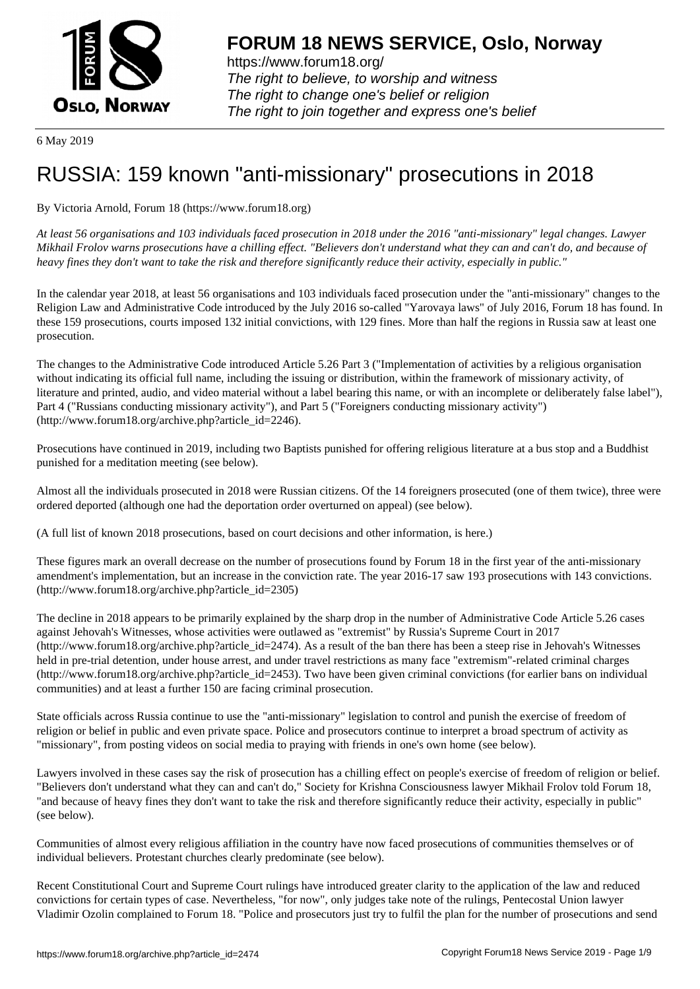

6 May 2019

# [RUSSIA: 159 kn](https://www.forum18.org)own "anti-missionary" prosecutions in 2018

By Victoria Arnold, Forum 18 (https://www.forum18.org)

*At least 56 organisations and 103 individuals faced prosecution in 2018 under the 2016 "anti-missionary" legal changes. Lawyer Mikhail Frolov warns prosecutions have a chilling effect. "Believers don't understand what they can and can't do, and because of heavy fines they don't want to take the risk and therefore significantly reduce their activity, especially in public."*

In the calendar year 2018, at least 56 organisations and 103 individuals faced prosecution under the "anti-missionary" changes to the Religion Law and Administrative Code introduced by the July 2016 so-called "Yarovaya laws" of July 2016, Forum 18 has found. In these 159 prosecutions, courts imposed 132 initial convictions, with 129 fines. More than half the regions in Russia saw at least one prosecution.

The changes to the Administrative Code introduced Article 5.26 Part 3 ("Implementation of activities by a religious organisation without indicating its official full name, including the issuing or distribution, within the framework of missionary activity, of literature and printed, audio, and video material without a label bearing this name, or with an incomplete or deliberately false label"), Part 4 ("Russians conducting missionary activity"), and Part 5 ("Foreigners conducting missionary activity") (http://www.forum18.org/archive.php?article\_id=2246).

Prosecutions have continued in 2019, including two Baptists punished for offering religious literature at a bus stop and a Buddhist punished for a meditation meeting (see below).

Almost all the individuals prosecuted in 2018 were Russian citizens. Of the 14 foreigners prosecuted (one of them twice), three were ordered deported (although one had the deportation order overturned on appeal) (see below).

(A full list of known 2018 prosecutions, based on court decisions and other information, is here.)

These figures mark an overall decrease on the number of prosecutions found by Forum 18 in the first year of the anti-missionary amendment's implementation, but an increase in the conviction rate. The year 2016-17 saw 193 prosecutions with 143 convictions. (http://www.forum18.org/archive.php?article\_id=2305)

The decline in 2018 appears to be primarily explained by the sharp drop in the number of Administrative Code Article 5.26 cases against Jehovah's Witnesses, whose activities were outlawed as "extremist" by Russia's Supreme Court in 2017 (http://www.forum18.org/archive.php?article\_id=2474). As a result of the ban there has been a steep rise in Jehovah's Witnesses held in pre-trial detention, under house arrest, and under travel restrictions as many face "extremism"-related criminal charges  $(\text{http://www.forum18.org/archive.php?article id=2453)}$ . Two have been given criminal convictions (for earlier bans on individual communities) and at least a further 150 are facing criminal prosecution.

State officials across Russia continue to use the "anti-missionary" legislation to control and punish the exercise of freedom of religion or belief in public and even private space. Police and prosecutors continue to interpret a broad spectrum of activity as "missionary", from posting videos on social media to praying with friends in one's own home (see below).

Lawyers involved in these cases say the risk of prosecution has a chilling effect on people's exercise of freedom of religion or belief. "Believers don't understand what they can and can't do," Society for Krishna Consciousness lawyer Mikhail Frolov told Forum 18, "and because of heavy fines they don't want to take the risk and therefore significantly reduce their activity, especially in public" (see below).

Communities of almost every religious affiliation in the country have now faced prosecutions of communities themselves or of individual believers. Protestant churches clearly predominate (see below).

Recent Constitutional Court and Supreme Court rulings have introduced greater clarity to the application of the law and reduced convictions for certain types of case. Nevertheless, "for now", only judges take note of the rulings, Pentecostal Union lawyer Vladimir Ozolin complained to Forum 18. "Police and prosecutors just try to fulfil the plan for the number of prosecutions and send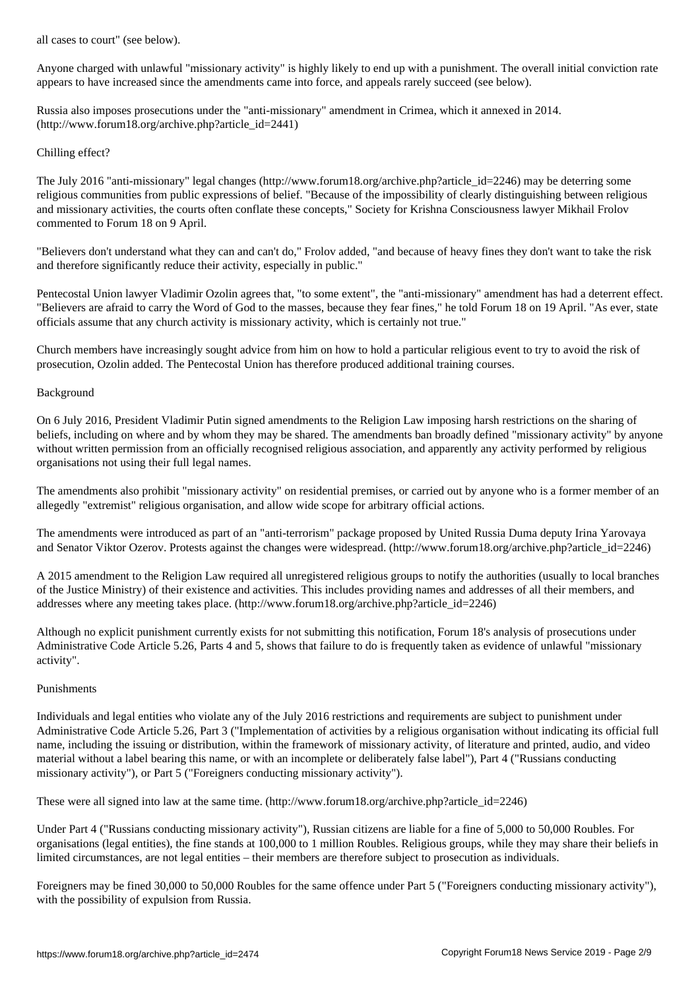Anyone charged with unlawful "missionary activity" is highly likely to end up with a punishment. The overall initial conviction rate appears to have increased since the amendments came into force, and appeals rarely succeed (see below).

Russia also imposes prosecutions under the "anti-missionary" amendment in Crimea, which it annexed in 2014. (http://www.forum18.org/archive.php?article\_id=2441)

## Chilling effect?

The July 2016 "anti-missionary" legal changes (http://www.forum18.org/archive.php?article\_id=2246) may be deterring some religious communities from public expressions of belief. "Because of the impossibility of clearly distinguishing between religious and missionary activities, the courts often conflate these concepts," Society for Krishna Consciousness lawyer Mikhail Frolov commented to Forum 18 on 9 April.

"Believers don't understand what they can and can't do," Frolov added, "and because of heavy fines they don't want to take the risk and therefore significantly reduce their activity, especially in public."

Pentecostal Union lawyer Vladimir Ozolin agrees that, "to some extent", the "anti-missionary" amendment has had a deterrent effect. "Believers are afraid to carry the Word of God to the masses, because they fear fines," he told Forum 18 on 19 April. "As ever, state officials assume that any church activity is missionary activity, which is certainly not true."

Church members have increasingly sought advice from him on how to hold a particular religious event to try to avoid the risk of prosecution, Ozolin added. The Pentecostal Union has therefore produced additional training courses.

### Background

On 6 July 2016, President Vladimir Putin signed amendments to the Religion Law imposing harsh restrictions on the sharing of beliefs, including on where and by whom they may be shared. The amendments ban broadly defined "missionary activity" by anyone without written permission from an officially recognised religious association, and apparently any activity performed by religious organisations not using their full legal names.

The amendments also prohibit "missionary activity" on residential premises, or carried out by anyone who is a former member of an allegedly "extremist" religious organisation, and allow wide scope for arbitrary official actions.

The amendments were introduced as part of an "anti-terrorism" package proposed by United Russia Duma deputy Irina Yarovaya and Senator Viktor Ozerov. Protests against the changes were widespread. (http://www.forum18.org/archive.php?article\_id=2246)

A 2015 amendment to the Religion Law required all unregistered religious groups to notify the authorities (usually to local branches of the Justice Ministry) of their existence and activities. This includes providing names and addresses of all their members, and addresses where any meeting takes place. (http://www.forum18.org/archive.php?article\_id=2246)

Although no explicit punishment currently exists for not submitting this notification, Forum 18's analysis of prosecutions under Administrative Code Article 5.26, Parts 4 and 5, shows that failure to do is frequently taken as evidence of unlawful "missionary activity".

### Punishments

Individuals and legal entities who violate any of the July 2016 restrictions and requirements are subject to punishment under Administrative Code Article 5.26, Part 3 ("Implementation of activities by a religious organisation without indicating its official full name, including the issuing or distribution, within the framework of missionary activity, of literature and printed, audio, and video material without a label bearing this name, or with an incomplete or deliberately false label"), Part 4 ("Russians conducting missionary activity"), or Part 5 ("Foreigners conducting missionary activity").

These were all signed into law at the same time. (http://www.forum18.org/archive.php?article\_id=2246)

Under Part 4 ("Russians conducting missionary activity"), Russian citizens are liable for a fine of 5,000 to 50,000 Roubles. For organisations (legal entities), the fine stands at 100,000 to 1 million Roubles. Religious groups, while they may share their beliefs in limited circumstances, are not legal entities – their members are therefore subject to prosecution as individuals.

Foreigners may be fined 30,000 to 50,000 Roubles for the same offence under Part 5 ("Foreigners conducting missionary activity"), with the possibility of expulsion from Russia.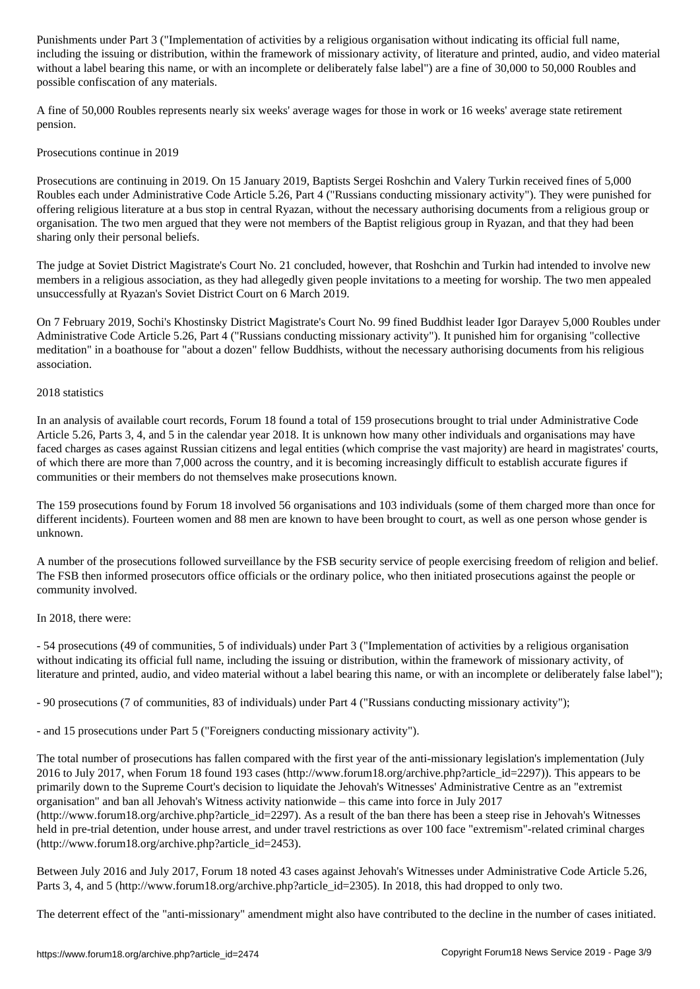including the issuing or distribution, within the framework of missionary activity, of literature and printed, audio, and video material without a label bearing this name, or with an incomplete or deliberately false label") are a fine of 30,000 to 50,000 Roubles and possible confiscation of any materials.

A fine of 50,000 Roubles represents nearly six weeks' average wages for those in work or 16 weeks' average state retirement pension.

Prosecutions continue in 2019

Prosecutions are continuing in 2019. On 15 January 2019, Baptists Sergei Roshchin and Valery Turkin received fines of 5,000 Roubles each under Administrative Code Article 5.26, Part 4 ("Russians conducting missionary activity"). They were punished for offering religious literature at a bus stop in central Ryazan, without the necessary authorising documents from a religious group or organisation. The two men argued that they were not members of the Baptist religious group in Ryazan, and that they had been sharing only their personal beliefs.

The judge at Soviet District Magistrate's Court No. 21 concluded, however, that Roshchin and Turkin had intended to involve new members in a religious association, as they had allegedly given people invitations to a meeting for worship. The two men appealed unsuccessfully at Ryazan's Soviet District Court on 6 March 2019.

On 7 February 2019, Sochi's Khostinsky District Magistrate's Court No. 99 fined Buddhist leader Igor Darayev 5,000 Roubles under Administrative Code Article 5.26, Part 4 ("Russians conducting missionary activity"). It punished him for organising "collective meditation" in a boathouse for "about a dozen" fellow Buddhists, without the necessary authorising documents from his religious association.

### 2018 statistics

In an analysis of available court records, Forum 18 found a total of 159 prosecutions brought to trial under Administrative Code Article 5.26, Parts 3, 4, and 5 in the calendar year 2018. It is unknown how many other individuals and organisations may have faced charges as cases against Russian citizens and legal entities (which comprise the vast majority) are heard in magistrates' courts, of which there are more than 7,000 across the country, and it is becoming increasingly difficult to establish accurate figures if communities or their members do not themselves make prosecutions known.

The 159 prosecutions found by Forum 18 involved 56 organisations and 103 individuals (some of them charged more than once for different incidents). Fourteen women and 88 men are known to have been brought to court, as well as one person whose gender is unknown.

A number of the prosecutions followed surveillance by the FSB security service of people exercising freedom of religion and belief. The FSB then informed prosecutors office officials or the ordinary police, who then initiated prosecutions against the people or community involved.

### In 2018, there were:

- 54 prosecutions (49 of communities, 5 of individuals) under Part 3 ("Implementation of activities by a religious organisation without indicating its official full name, including the issuing or distribution, within the framework of missionary activity, of literature and printed, audio, and video material without a label bearing this name, or with an incomplete or deliberately false label");

- 90 prosecutions (7 of communities, 83 of individuals) under Part 4 ("Russians conducting missionary activity");

- and 15 prosecutions under Part 5 ("Foreigners conducting missionary activity").

The total number of prosecutions has fallen compared with the first year of the anti-missionary legislation's implementation (July 2016 to July 2017, when Forum 18 found 193 cases (http://www.forum18.org/archive.php?article\_id=2297)). This appears to be primarily down to the Supreme Court's decision to liquidate the Jehovah's Witnesses' Administrative Centre as an "extremist organisation" and ban all Jehovah's Witness activity nationwide – this came into force in July 2017 (http://www.forum18.org/archive.php?article\_id=2297). As a result of the ban there has been a steep rise in Jehovah's Witnesses held in pre-trial detention, under house arrest, and under travel restrictions as over 100 face "extremism"-related criminal charges (http://www.forum18.org/archive.php?article\_id=2453).

Between July 2016 and July 2017, Forum 18 noted 43 cases against Jehovah's Witnesses under Administrative Code Article 5.26, Parts 3, 4, and 5 (http://www.forum18.org/archive.php?article\_id=2305). In 2018, this had dropped to only two.

The deterrent effect of the "anti-missionary" amendment might also have contributed to the decline in the number of cases initiated.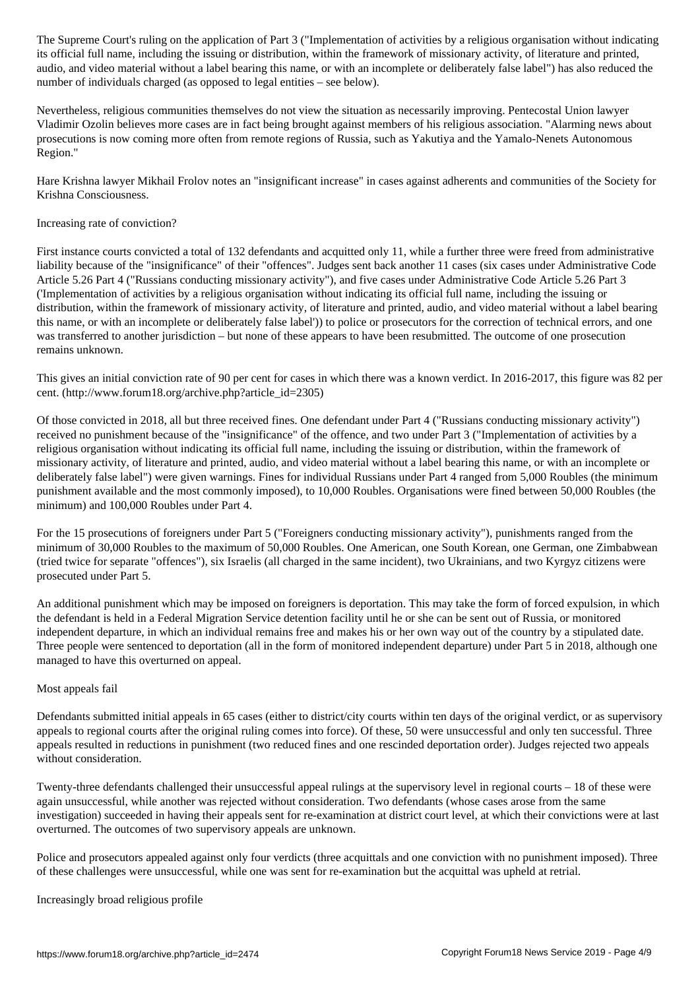its official full name, including the issuing or distribution, within the framework of missionary activity, of literature and printed, audio, and video material without a label bearing this name, or with an incomplete or deliberately false label") has also reduced the number of individuals charged (as opposed to legal entities – see below).

Nevertheless, religious communities themselves do not view the situation as necessarily improving. Pentecostal Union lawyer Vladimir Ozolin believes more cases are in fact being brought against members of his religious association. "Alarming news about prosecutions is now coming more often from remote regions of Russia, such as Yakutiya and the Yamalo-Nenets Autonomous Region."

Hare Krishna lawyer Mikhail Frolov notes an "insignificant increase" in cases against adherents and communities of the Society for Krishna Consciousness.

Increasing rate of conviction?

First instance courts convicted a total of 132 defendants and acquitted only 11, while a further three were freed from administrative liability because of the "insignificance" of their "offences". Judges sent back another 11 cases (six cases under Administrative Code Article 5.26 Part 4 ("Russians conducting missionary activity"), and five cases under Administrative Code Article 5.26 Part 3 ('Implementation of activities by a religious organisation without indicating its official full name, including the issuing or distribution, within the framework of missionary activity, of literature and printed, audio, and video material without a label bearing this name, or with an incomplete or deliberately false label')) to police or prosecutors for the correction of technical errors, and one was transferred to another jurisdiction – but none of these appears to have been resubmitted. The outcome of one prosecution remains unknown.

This gives an initial conviction rate of 90 per cent for cases in which there was a known verdict. In 2016-2017, this figure was 82 per cent. (http://www.forum18.org/archive.php?article\_id=2305)

Of those convicted in 2018, all but three received fines. One defendant under Part 4 ("Russians conducting missionary activity") received no punishment because of the "insignificance" of the offence, and two under Part 3 ("Implementation of activities by a religious organisation without indicating its official full name, including the issuing or distribution, within the framework of missionary activity, of literature and printed, audio, and video material without a label bearing this name, or with an incomplete or deliberately false label") were given warnings. Fines for individual Russians under Part 4 ranged from 5,000 Roubles (the minimum punishment available and the most commonly imposed), to 10,000 Roubles. Organisations were fined between 50,000 Roubles (the minimum) and 100,000 Roubles under Part 4.

For the 15 prosecutions of foreigners under Part 5 ("Foreigners conducting missionary activity"), punishments ranged from the minimum of 30,000 Roubles to the maximum of 50,000 Roubles. One American, one South Korean, one German, one Zimbabwean (tried twice for separate "offences"), six Israelis (all charged in the same incident), two Ukrainians, and two Kyrgyz citizens were prosecuted under Part 5.

An additional punishment which may be imposed on foreigners is deportation. This may take the form of forced expulsion, in which the defendant is held in a Federal Migration Service detention facility until he or she can be sent out of Russia, or monitored independent departure, in which an individual remains free and makes his or her own way out of the country by a stipulated date. Three people were sentenced to deportation (all in the form of monitored independent departure) under Part 5 in 2018, although one managed to have this overturned on appeal.

### Most appeals fail

Defendants submitted initial appeals in 65 cases (either to district/city courts within ten days of the original verdict, or as supervisory appeals to regional courts after the original ruling comes into force). Of these, 50 were unsuccessful and only ten successful. Three appeals resulted in reductions in punishment (two reduced fines and one rescinded deportation order). Judges rejected two appeals without consideration.

Twenty-three defendants challenged their unsuccessful appeal rulings at the supervisory level in regional courts – 18 of these were again unsuccessful, while another was rejected without consideration. Two defendants (whose cases arose from the same investigation) succeeded in having their appeals sent for re-examination at district court level, at which their convictions were at last overturned. The outcomes of two supervisory appeals are unknown.

Police and prosecutors appealed against only four verdicts (three acquittals and one conviction with no punishment imposed). Three of these challenges were unsuccessful, while one was sent for re-examination but the acquittal was upheld at retrial.

Increasingly broad religious profile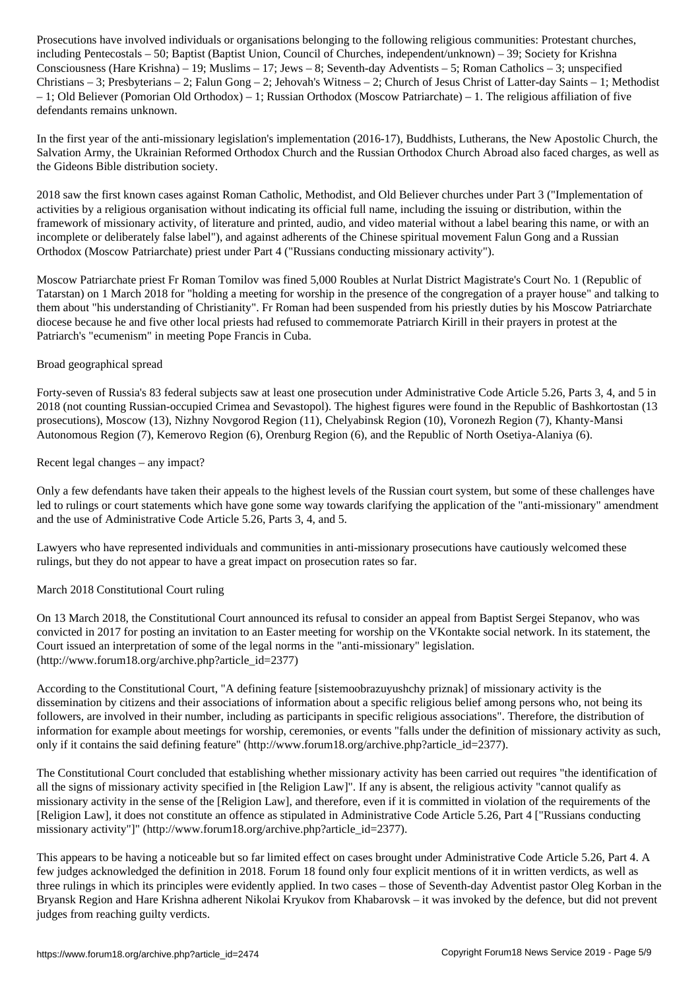including Pentecostals – 50; Baptist (Baptist Union, Council of Churches, independent/unknown) – 39; Society for Krishna Consciousness (Hare Krishna) – 19; Muslims – 17; Jews – 8; Seventh-day Adventists – 5; Roman Catholics – 3; unspecified Christians – 3; Presbyterians – 2; Falun Gong – 2; Jehovah's Witness – 2; Church of Jesus Christ of Latter-day Saints – 1; Methodist – 1; Old Believer (Pomorian Old Orthodox) – 1; Russian Orthodox (Moscow Patriarchate) – 1. The religious affiliation of five defendants remains unknown.

In the first year of the anti-missionary legislation's implementation (2016-17), Buddhists, Lutherans, the New Apostolic Church, the Salvation Army, the Ukrainian Reformed Orthodox Church and the Russian Orthodox Church Abroad also faced charges, as well as the Gideons Bible distribution society.

2018 saw the first known cases against Roman Catholic, Methodist, and Old Believer churches under Part 3 ("Implementation of activities by a religious organisation without indicating its official full name, including the issuing or distribution, within the framework of missionary activity, of literature and printed, audio, and video material without a label bearing this name, or with an incomplete or deliberately false label"), and against adherents of the Chinese spiritual movement Falun Gong and a Russian Orthodox (Moscow Patriarchate) priest under Part 4 ("Russians conducting missionary activity").

Moscow Patriarchate priest Fr Roman Tomilov was fined 5,000 Roubles at Nurlat District Magistrate's Court No. 1 (Republic of Tatarstan) on 1 March 2018 for "holding a meeting for worship in the presence of the congregation of a prayer house" and talking to them about "his understanding of Christianity". Fr Roman had been suspended from his priestly duties by his Moscow Patriarchate diocese because he and five other local priests had refused to commemorate Patriarch Kirill in their prayers in protest at the Patriarch's "ecumenism" in meeting Pope Francis in Cuba.

### Broad geographical spread

Forty-seven of Russia's 83 federal subjects saw at least one prosecution under Administrative Code Article 5.26, Parts 3, 4, and 5 in 2018 (not counting Russian-occupied Crimea and Sevastopol). The highest figures were found in the Republic of Bashkortostan (13 prosecutions), Moscow (13), Nizhny Novgorod Region (11), Chelyabinsk Region (10), Voronezh Region (7), Khanty-Mansi Autonomous Region (7), Kemerovo Region (6), Orenburg Region (6), and the Republic of North Osetiya-Alaniya (6).

### Recent legal changes – any impact?

Only a few defendants have taken their appeals to the highest levels of the Russian court system, but some of these challenges have led to rulings or court statements which have gone some way towards clarifying the application of the "anti-missionary" amendment and the use of Administrative Code Article 5.26, Parts 3, 4, and 5.

Lawyers who have represented individuals and communities in anti-missionary prosecutions have cautiously welcomed these rulings, but they do not appear to have a great impact on prosecution rates so far.

#### March 2018 Constitutional Court ruling

On 13 March 2018, the Constitutional Court announced its refusal to consider an appeal from Baptist Sergei Stepanov, who was convicted in 2017 for posting an invitation to an Easter meeting for worship on the VKontakte social network. In its statement, the Court issued an interpretation of some of the legal norms in the "anti-missionary" legislation. (http://www.forum18.org/archive.php?article\_id=2377)

According to the Constitutional Court, "A defining feature [sistemoobrazuyushchy priznak] of missionary activity is the dissemination by citizens and their associations of information about a specific religious belief among persons who, not being its followers, are involved in their number, including as participants in specific religious associations". Therefore, the distribution of information for example about meetings for worship, ceremonies, or events "falls under the definition of missionary activity as such, only if it contains the said defining feature" (http://www.forum18.org/archive.php?article\_id=2377).

The Constitutional Court concluded that establishing whether missionary activity has been carried out requires "the identification of all the signs of missionary activity specified in [the Religion Law]". If any is absent, the religious activity "cannot qualify as missionary activity in the sense of the [Religion Law], and therefore, even if it is committed in violation of the requirements of the [Religion Law], it does not constitute an offence as stipulated in Administrative Code Article 5.26, Part 4 ["Russians conducting missionary activity"]" (http://www.forum18.org/archive.php?article\_id=2377).

This appears to be having a noticeable but so far limited effect on cases brought under Administrative Code Article 5.26, Part 4. A few judges acknowledged the definition in 2018. Forum 18 found only four explicit mentions of it in written verdicts, as well as three rulings in which its principles were evidently applied. In two cases – those of Seventh-day Adventist pastor Oleg Korban in the Bryansk Region and Hare Krishna adherent Nikolai Kryukov from Khabarovsk – it was invoked by the defence, but did not prevent judges from reaching guilty verdicts.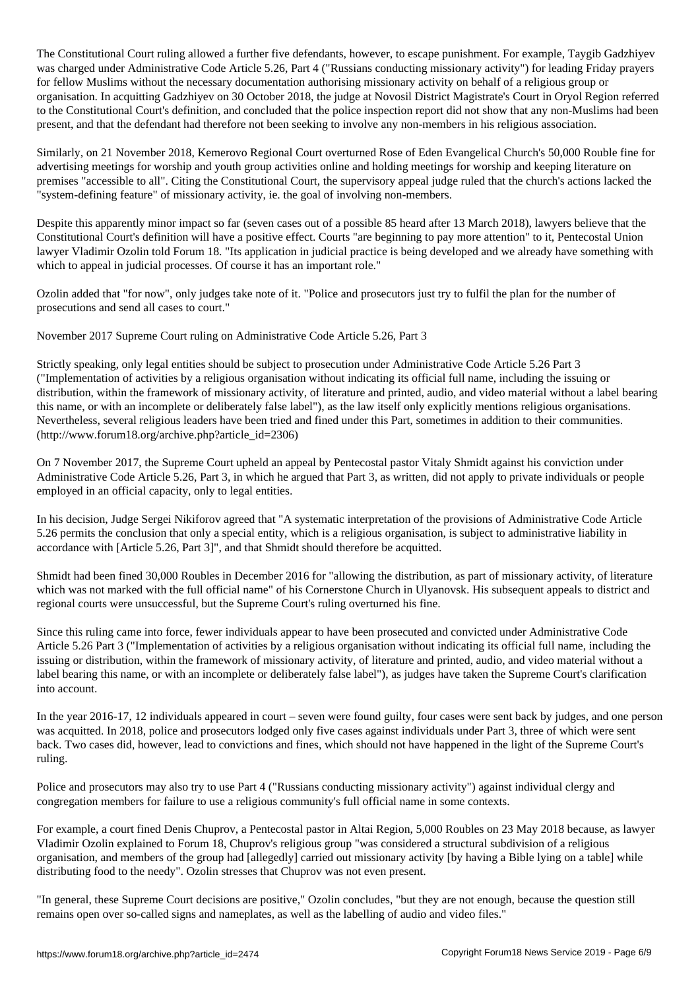The Constitutional Court ruling allowed a further five defendants, however, to escape punishment. For example, Taygib Gadzhiyev was charged under Administrative Code Article 5.26, Part 4 ("Russians conducting missionary activity") for leading Friday prayers for fellow Muslims without the necessary documentation authorising missionary activity on behalf of a religious group or organisation. In acquitting Gadzhiyev on 30 October 2018, the judge at Novosil District Magistrate's Court in Oryol Region referred to the Constitutional Court's definition, and concluded that the police inspection report did not show that any non-Muslims had been present, and that the defendant had therefore not been seeking to involve any non-members in his religious association.

Similarly, on 21 November 2018, Kemerovo Regional Court overturned Rose of Eden Evangelical Church's 50,000 Rouble fine for advertising meetings for worship and youth group activities online and holding meetings for worship and keeping literature on premises "accessible to all". Citing the Constitutional Court, the supervisory appeal judge ruled that the church's actions lacked the "system-defining feature" of missionary activity, ie. the goal of involving non-members.

Despite this apparently minor impact so far (seven cases out of a possible 85 heard after 13 March 2018), lawyers believe that the Constitutional Court's definition will have a positive effect. Courts "are beginning to pay more attention" to it, Pentecostal Union lawyer Vladimir Ozolin told Forum 18. "Its application in judicial practice is being developed and we already have something with which to appeal in judicial processes. Of course it has an important role."

Ozolin added that "for now", only judges take note of it. "Police and prosecutors just try to fulfil the plan for the number of prosecutions and send all cases to court."

November 2017 Supreme Court ruling on Administrative Code Article 5.26, Part 3

Strictly speaking, only legal entities should be subject to prosecution under Administrative Code Article 5.26 Part 3 ("Implementation of activities by a religious organisation without indicating its official full name, including the issuing or distribution, within the framework of missionary activity, of literature and printed, audio, and video material without a label bearing this name, or with an incomplete or deliberately false label"), as the law itself only explicitly mentions religious organisations. Nevertheless, several religious leaders have been tried and fined under this Part, sometimes in addition to their communities. (http://www.forum18.org/archive.php?article\_id=2306)

On 7 November 2017, the Supreme Court upheld an appeal by Pentecostal pastor Vitaly Shmidt against his conviction under Administrative Code Article 5.26, Part 3, in which he argued that Part 3, as written, did not apply to private individuals or people employed in an official capacity, only to legal entities.

In his decision, Judge Sergei Nikiforov agreed that "A systematic interpretation of the provisions of Administrative Code Article 5.26 permits the conclusion that only a special entity, which is a religious organisation, is subject to administrative liability in accordance with [Article 5.26, Part 3]", and that Shmidt should therefore be acquitted.

Shmidt had been fined 30,000 Roubles in December 2016 for "allowing the distribution, as part of missionary activity, of literature which was not marked with the full official name" of his Cornerstone Church in Ulyanovsk. His subsequent appeals to district and regional courts were unsuccessful, but the Supreme Court's ruling overturned his fine.

Since this ruling came into force, fewer individuals appear to have been prosecuted and convicted under Administrative Code Article 5.26 Part 3 ("Implementation of activities by a religious organisation without indicating its official full name, including the issuing or distribution, within the framework of missionary activity, of literature and printed, audio, and video material without a label bearing this name, or with an incomplete or deliberately false label"), as judges have taken the Supreme Court's clarification into account.

In the year 2016-17, 12 individuals appeared in court – seven were found guilty, four cases were sent back by judges, and one person was acquitted. In 2018, police and prosecutors lodged only five cases against individuals under Part 3, three of which were sent back. Two cases did, however, lead to convictions and fines, which should not have happened in the light of the Supreme Court's ruling.

Police and prosecutors may also try to use Part 4 ("Russians conducting missionary activity") against individual clergy and congregation members for failure to use a religious community's full official name in some contexts.

For example, a court fined Denis Chuprov, a Pentecostal pastor in Altai Region, 5,000 Roubles on 23 May 2018 because, as lawyer Vladimir Ozolin explained to Forum 18, Chuprov's religious group "was considered a structural subdivision of a religious organisation, and members of the group had [allegedly] carried out missionary activity [by having a Bible lying on a table] while distributing food to the needy". Ozolin stresses that Chuprov was not even present.

"In general, these Supreme Court decisions are positive," Ozolin concludes, "but they are not enough, because the question still remains open over so-called signs and nameplates, as well as the labelling of audio and video files."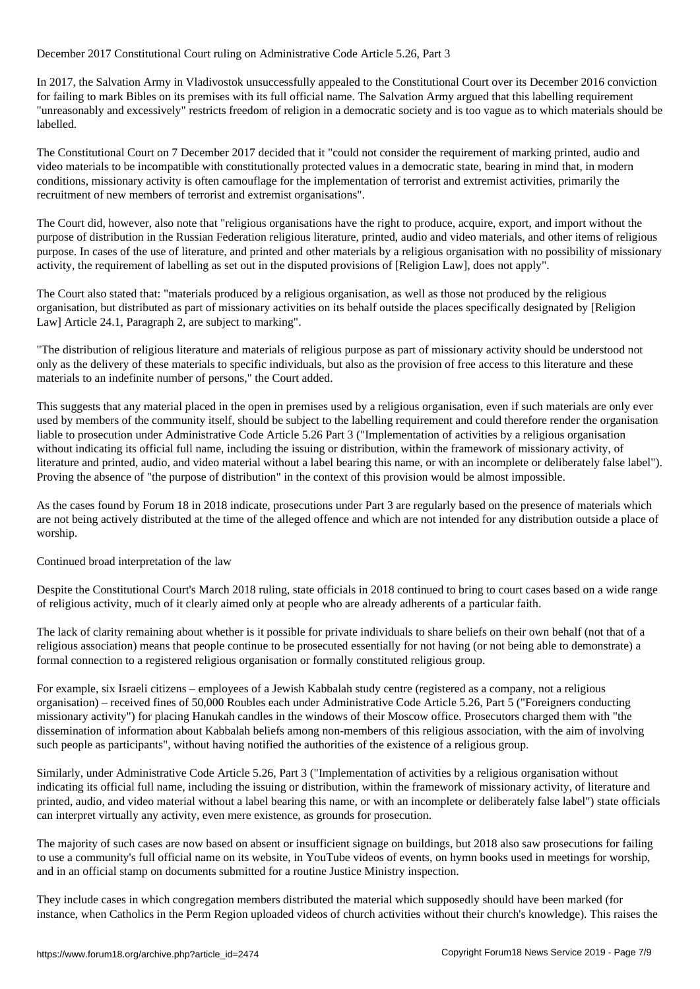# In 2017, the Salvation Army in Vladivostok unsuccessfully appealed to the Constitutional Court over its December 2016 conviction for failing to mark Bibles on its premises with its full official name. The Salvation Army argued that this labelling requirement "unreasonably and excessively" restricts freedom of religion in a democratic society and is too vague as to which materials should be labelled.

December 2017 Constitutional Court ruling on Administrative Code Article 5.26, Part 3

The Constitutional Court on 7 December 2017 decided that it "could not consider the requirement of marking printed, audio and video materials to be incompatible with constitutionally protected values in a democratic state, bearing in mind that, in modern conditions, missionary activity is often camouflage for the implementation of terrorist and extremist activities, primarily the recruitment of new members of terrorist and extremist organisations".

The Court did, however, also note that "religious organisations have the right to produce, acquire, export, and import without the purpose of distribution in the Russian Federation religious literature, printed, audio and video materials, and other items of religious purpose. In cases of the use of literature, and printed and other materials by a religious organisation with no possibility of missionary activity, the requirement of labelling as set out in the disputed provisions of [Religion Law], does not apply".

The Court also stated that: "materials produced by a religious organisation, as well as those not produced by the religious organisation, but distributed as part of missionary activities on its behalf outside the places specifically designated by [Religion Law] Article 24.1, Paragraph 2, are subject to marking".

"The distribution of religious literature and materials of religious purpose as part of missionary activity should be understood not only as the delivery of these materials to specific individuals, but also as the provision of free access to this literature and these materials to an indefinite number of persons," the Court added.

This suggests that any material placed in the open in premises used by a religious organisation, even if such materials are only ever used by members of the community itself, should be subject to the labelling requirement and could therefore render the organisation liable to prosecution under Administrative Code Article 5.26 Part 3 ("Implementation of activities by a religious organisation without indicating its official full name, including the issuing or distribution, within the framework of missionary activity, of literature and printed, audio, and video material without a label bearing this name, or with an incomplete or deliberately false label"). Proving the absence of "the purpose of distribution" in the context of this provision would be almost impossible.

As the cases found by Forum 18 in 2018 indicate, prosecutions under Part 3 are regularly based on the presence of materials which are not being actively distributed at the time of the alleged offence and which are not intended for any distribution outside a place of worship.

Continued broad interpretation of the law

Despite the Constitutional Court's March 2018 ruling, state officials in 2018 continued to bring to court cases based on a wide range of religious activity, much of it clearly aimed only at people who are already adherents of a particular faith.

The lack of clarity remaining about whether is it possible for private individuals to share beliefs on their own behalf (not that of a religious association) means that people continue to be prosecuted essentially for not having (or not being able to demonstrate) a formal connection to a registered religious organisation or formally constituted religious group.

For example, six Israeli citizens – employees of a Jewish Kabbalah study centre (registered as a company, not a religious organisation) – received fines of 50,000 Roubles each under Administrative Code Article 5.26, Part 5 ("Foreigners conducting missionary activity") for placing Hanukah candles in the windows of their Moscow office. Prosecutors charged them with "the dissemination of information about Kabbalah beliefs among non-members of this religious association, with the aim of involving such people as participants", without having notified the authorities of the existence of a religious group.

Similarly, under Administrative Code Article 5.26, Part 3 ("Implementation of activities by a religious organisation without indicating its official full name, including the issuing or distribution, within the framework of missionary activity, of literature and printed, audio, and video material without a label bearing this name, or with an incomplete or deliberately false label") state officials can interpret virtually any activity, even mere existence, as grounds for prosecution.

The majority of such cases are now based on absent or insufficient signage on buildings, but 2018 also saw prosecutions for failing to use a community's full official name on its website, in YouTube videos of events, on hymn books used in meetings for worship, and in an official stamp on documents submitted for a routine Justice Ministry inspection.

They include cases in which congregation members distributed the material which supposedly should have been marked (for instance, when Catholics in the Perm Region uploaded videos of church activities without their church's knowledge). This raises the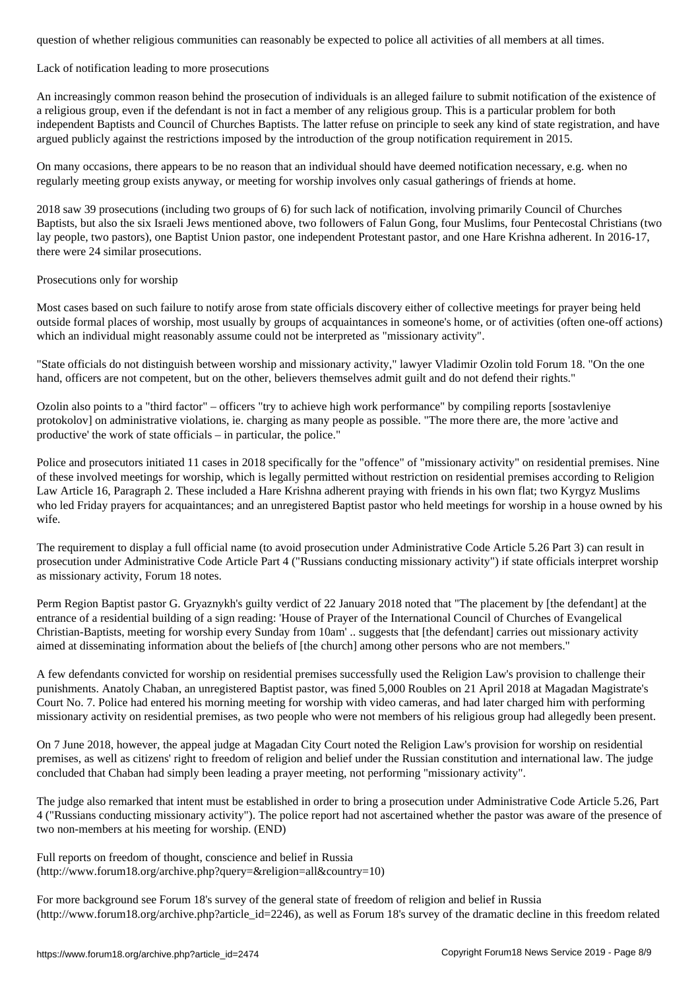Lack of notification leading to more prosecutions

An increasingly common reason behind the prosecution of individuals is an alleged failure to submit notification of the existence of a religious group, even if the defendant is not in fact a member of any religious group. This is a particular problem for both independent Baptists and Council of Churches Baptists. The latter refuse on principle to seek any kind of state registration, and have argued publicly against the restrictions imposed by the introduction of the group notification requirement in 2015.

On many occasions, there appears to be no reason that an individual should have deemed notification necessary, e.g. when no regularly meeting group exists anyway, or meeting for worship involves only casual gatherings of friends at home.

2018 saw 39 prosecutions (including two groups of 6) for such lack of notification, involving primarily Council of Churches Baptists, but also the six Israeli Jews mentioned above, two followers of Falun Gong, four Muslims, four Pentecostal Christians (two lay people, two pastors), one Baptist Union pastor, one independent Protestant pastor, and one Hare Krishna adherent. In 2016-17, there were 24 similar prosecutions.

#### Prosecutions only for worship

Most cases based on such failure to notify arose from state officials discovery either of collective meetings for prayer being held outside formal places of worship, most usually by groups of acquaintances in someone's home, or of activities (often one-off actions) which an individual might reasonably assume could not be interpreted as "missionary activity".

"State officials do not distinguish between worship and missionary activity," lawyer Vladimir Ozolin told Forum 18. "On the one hand, officers are not competent, but on the other, believers themselves admit guilt and do not defend their rights."

Ozolin also points to a "third factor" – officers "try to achieve high work performance" by compiling reports [sostavleniye protokolov] on administrative violations, ie. charging as many people as possible. "The more there are, the more 'active and productive' the work of state officials – in particular, the police."

Police and prosecutors initiated 11 cases in 2018 specifically for the "offence" of "missionary activity" on residential premises. Nine of these involved meetings for worship, which is legally permitted without restriction on residential premises according to Religion Law Article 16, Paragraph 2. These included a Hare Krishna adherent praying with friends in his own flat; two Kyrgyz Muslims who led Friday prayers for acquaintances; and an unregistered Baptist pastor who held meetings for worship in a house owned by his wife.

The requirement to display a full official name (to avoid prosecution under Administrative Code Article 5.26 Part 3) can result in prosecution under Administrative Code Article Part 4 ("Russians conducting missionary activity") if state officials interpret worship as missionary activity, Forum 18 notes.

Perm Region Baptist pastor G. Gryaznykh's guilty verdict of 22 January 2018 noted that "The placement by [the defendant] at the entrance of a residential building of a sign reading: 'House of Prayer of the International Council of Churches of Evangelical Christian-Baptists, meeting for worship every Sunday from 10am' .. suggests that [the defendant] carries out missionary activity aimed at disseminating information about the beliefs of [the church] among other persons who are not members."

A few defendants convicted for worship on residential premises successfully used the Religion Law's provision to challenge their punishments. Anatoly Chaban, an unregistered Baptist pastor, was fined 5,000 Roubles on 21 April 2018 at Magadan Magistrate's Court No. 7. Police had entered his morning meeting for worship with video cameras, and had later charged him with performing missionary activity on residential premises, as two people who were not members of his religious group had allegedly been present.

On 7 June 2018, however, the appeal judge at Magadan City Court noted the Religion Law's provision for worship on residential premises, as well as citizens' right to freedom of religion and belief under the Russian constitution and international law. The judge concluded that Chaban had simply been leading a prayer meeting, not performing "missionary activity".

The judge also remarked that intent must be established in order to bring a prosecution under Administrative Code Article 5.26, Part 4 ("Russians conducting missionary activity"). The police report had not ascertained whether the pastor was aware of the presence of two non-members at his meeting for worship. (END)

Full reports on freedom of thought, conscience and belief in Russia (http://www.forum18.org/archive.php?query=&religion=all&country=10)

For more background see Forum 18's survey of the general state of freedom of religion and belief in Russia  $(\text{http://www.forum18.org/archive.php?article id=2246)}$ , as well as Forum 18's survey of the dramatic decline in this freedom related